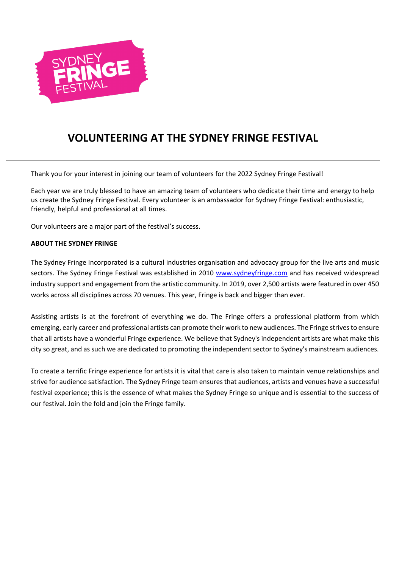

# **VOLUNTEERING AT THE SYDNEY FRINGE FESTIVAL**

Thank you for your interest in joining our team of volunteers for the 2022 Sydney Fringe Festival!

Each year we are truly blessed to have an amazing team of volunteers who dedicate their time and energy to help us create the Sydney Fringe Festival. Every volunteer is an ambassador for Sydney Fringe Festival: enthusiastic, friendly, helpful and professional at all times.

Our volunteers are a major part of the festival's success.

## **ABOUT THE SYDNEY FRINGE**

The Sydney Fringe Incorporated is a cultural industries organisation and advocacy group for the live arts and music sectors. The Sydney Fringe Festival was established in 2010 www.sydneyfringe.com and has received widespread industry support and engagement from the artistic community. In 2019, over 2,500 artists were featured in over 450 works across all disciplines across 70 venues. This year, Fringe is back and bigger than ever.

Assisting artists is at the forefront of everything we do. The Fringe offers a professional platform from which emerging, early career and professional artists can promote their work to new audiences. The Fringe strives to ensure that all artists have a wonderful Fringe experience. We believe that Sydney's independent artists are what make this city so great, and as such we are dedicated to promoting the independent sector to Sydney's mainstream audiences.

To create a terrific Fringe experience for artists it is vital that care is also taken to maintain venue relationships and strive for audience satisfaction. The Sydney Fringe team ensures that audiences, artists and venues have a successful festival experience; this is the essence of what makes the Sydney Fringe so unique and is essential to the success of our festival. Join the fold and join the Fringe family.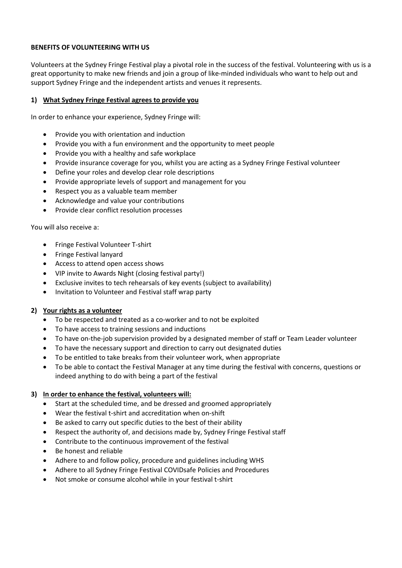# **BENEFITS OF VOLUNTEERING WITH US**

Volunteers at the Sydney Fringe Festival play a pivotal role in the success of the festival. Volunteering with us is a great opportunity to make new friends and join a group of like-minded individuals who want to help out and support Sydney Fringe and the independent artists and venues it represents.

# **1) What Sydney Fringe Festival agrees to provide you**

In order to enhance your experience, Sydney Fringe will:

- Provide you with orientation and induction
- Provide you with a fun environment and the opportunity to meet people
- Provide you with a healthy and safe workplace
- Provide insurance coverage for you, whilst you are acting as a Sydney Fringe Festival volunteer
- Define your roles and develop clear role descriptions
- Provide appropriate levels of support and management for you
- Respect you as a valuable team member
- Acknowledge and value your contributions
- Provide clear conflict resolution processes

You will also receive a:

- Fringe Festival Volunteer T-shirt
- Fringe Festival lanyard
- Access to attend open access shows
- VIP invite to Awards Night (closing festival party!)
- Exclusive invites to tech rehearsals of key events (subject to availability)
- Invitation to Volunteer and Festival staff wrap party

## **2) Your rights as a volunteer**

- To be respected and treated as a co-worker and to not be exploited
- To have access to training sessions and inductions
- To have on-the-job supervision provided by a designated member of staff or Team Leader volunteer
- To have the necessary support and direction to carry out designated duties
- To be entitled to take breaks from their volunteer work, when appropriate
- To be able to contact the Festival Manager at any time during the festival with concerns, questions or indeed anything to do with being a part of the festival

## **3) In order to enhance the festival, volunteers will:**

- Start at the scheduled time, and be dressed and groomed appropriately
- Wear the festival t-shirt and accreditation when on-shift
- Be asked to carry out specific duties to the best of their ability
- Respect the authority of, and decisions made by, Sydney Fringe Festival staff
- Contribute to the continuous improvement of the festival
- Be honest and reliable
- Adhere to and follow policy, procedure and guidelines including WHS
- Adhere to all Sydney Fringe Festival COVIDsafe Policies and Procedures
- Not smoke or consume alcohol while in your festival t-shirt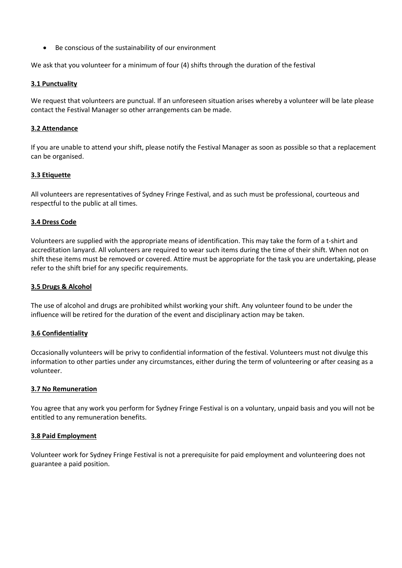• Be conscious of the sustainability of our environment

We ask that you volunteer for a minimum of four (4) shifts through the duration of the festival

## **3.1 Punctuality**

We request that volunteers are punctual. If an unforeseen situation arises whereby a volunteer will be late please contact the Festival Manager so other arrangements can be made.

## **3.2 Attendance**

If you are unable to attend your shift, please notify the Festival Manager as soon as possible so that a replacement can be organised.

## **3.3 Etiquette**

All volunteers are representatives of Sydney Fringe Festival, and as such must be professional, courteous and respectful to the public at all times.

## **3.4 Dress Code**

Volunteers are supplied with the appropriate means of identification. This may take the form of a t-shirt and accreditation lanyard. All volunteers are required to wear such items during the time of their shift. When not on shift these items must be removed or covered. Attire must be appropriate for the task you are undertaking, please refer to the shift brief for any specific requirements.

## **3.5 Drugs & Alcohol**

The use of alcohol and drugs are prohibited whilst working your shift. Any volunteer found to be under the influence will be retired for the duration of the event and disciplinary action may be taken.

## **3.6 Confidentiality**

Occasionally volunteers will be privy to confidential information of the festival. Volunteers must not divulge this information to other parties under any circumstances, either during the term of volunteering or after ceasing as a volunteer.

## **3.7 No Remuneration**

You agree that any work you perform for Sydney Fringe Festival is on a voluntary, unpaid basis and you will not be entitled to any remuneration benefits.

## **3.8 Paid Employment**

Volunteer work for Sydney Fringe Festival is not a prerequisite for paid employment and volunteering does not guarantee a paid position.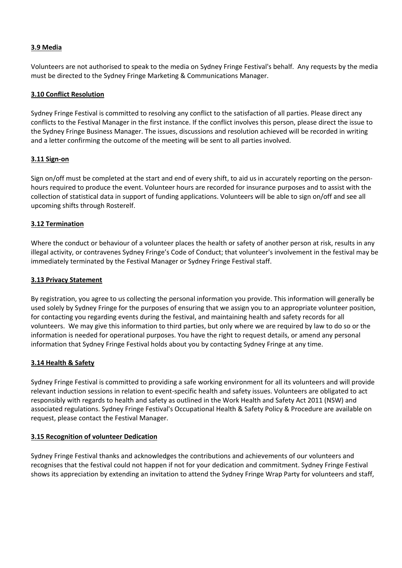# **3.9 Media**

Volunteers are not authorised to speak to the media on Sydney Fringe Festival's behalf. Any requests by the media must be directed to the Sydney Fringe Marketing & Communications Manager.

## **3.10 Conflict Resolution**

Sydney Fringe Festival is committed to resolving any conflict to the satisfaction of all parties. Please direct any conflicts to the Festival Manager in the first instance. If the conflict involves this person, please direct the issue to the Sydney Fringe Business Manager. The issues, discussions and resolution achieved will be recorded in writing and a letter confirming the outcome of the meeting will be sent to all parties involved.

## **3.11 Sign-on**

Sign on/off must be completed at the start and end of every shift, to aid us in accurately reporting on the personhours required to produce the event. Volunteer hours are recorded for insurance purposes and to assist with the collection of statistical data in support of funding applications. Volunteers will be able to sign on/off and see all upcoming shifts through Rosterelf.

## **3.12 Termination**

Where the conduct or behaviour of a volunteer places the health or safety of another person at risk, results in any illegal activity, or contravenes Sydney Fringe's Code of Conduct; that volunteer's involvement in the festival may be immediately terminated by the Festival Manager or Sydney Fringe Festival staff.

## **3.13 Privacy Statement**

By registration, you agree to us collecting the personal information you provide. This information will generally be used solely by Sydney Fringe for the purposes of ensuring that we assign you to an appropriate volunteer position, for contacting you regarding events during the festival, and maintaining health and safety records for all volunteers. We may give this information to third parties, but only where we are required by law to do so or the information is needed for operational purposes. You have the right to request details, or amend any personal information that Sydney Fringe Festival holds about you by contacting Sydney Fringe at any time.

# **3.14 Health & Safety**

Sydney Fringe Festival is committed to providing a safe working environment for all its volunteers and will provide relevant induction sessions in relation to event-specific health and safety issues. Volunteers are obligated to act responsibly with regards to health and safety as outlined in the Work Health and Safety Act 2011 (NSW) and associated regulations. Sydney Fringe Festival's Occupational Health & Safety Policy & Procedure are available on request, please contact the Festival Manager.

# **3.15 Recognition of volunteer Dedication**

Sydney Fringe Festival thanks and acknowledges the contributions and achievements of our volunteers and recognises that the festival could not happen if not for your dedication and commitment. Sydney Fringe Festival shows its appreciation by extending an invitation to attend the Sydney Fringe Wrap Party for volunteers and staff,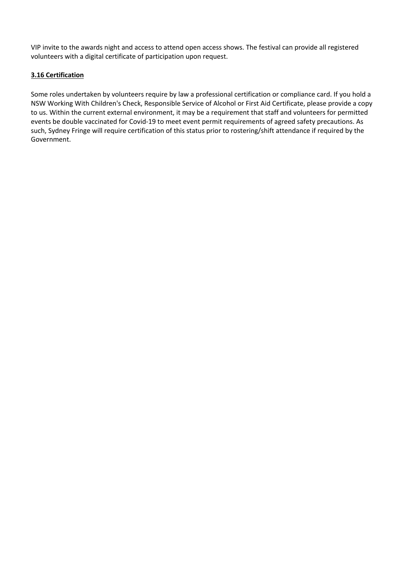VIP invite to the awards night and access to attend open access shows. The festival can provide all registered volunteers with a digital certificate of participation upon request.

# **3.16 Certification**

Some roles undertaken by volunteers require by law a professional certification or compliance card. If you hold a NSW Working With Children's Check, Responsible Service of Alcohol or First Aid Certificate, please provide a copy to us. Within the current external environment, it may be a requirement that staff and volunteers for permitted events be double vaccinated for Covid-19 to meet event permit requirements of agreed safety precautions. As such, Sydney Fringe will require certification of this status prior to rostering/shift attendance if required by the Government.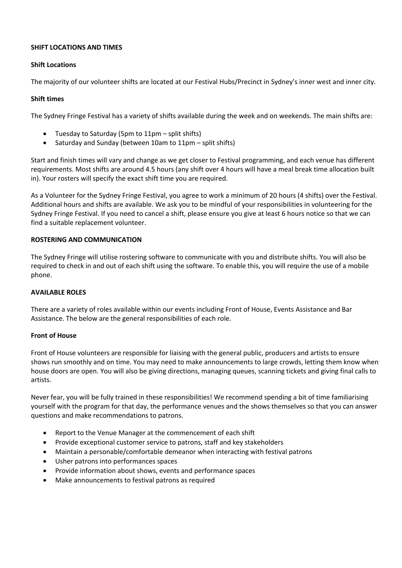# **SHIFT LOCATIONS AND TIMES**

## **Shift Locations**

The majority of our volunteer shifts are located at our Festival Hubs/Precinct in Sydney's inner west and inner city.

## **Shift times**

The Sydney Fringe Festival has a variety of shifts available during the week and on weekends. The main shifts are:

- Tuesday to Saturday (5pm to 11pm split shifts)
- Saturday and Sunday (between 10am to 11pm split shifts)

Start and finish times will vary and change as we get closer to Festival programming, and each venue has different requirements. Most shifts are around 4.5 hours (any shift over 4 hours will have a meal break time allocation built in). Your rosters will specify the exact shift time you are required.

As a Volunteer for the Sydney Fringe Festival, you agree to work a minimum of 20 hours (4 shifts) over the Festival. Additional hours and shifts are available. We ask you to be mindful of your responsibilities in volunteering for the Sydney Fringe Festival. If you need to cancel a shift, please ensure you give at least 6 hours notice so that we can find a suitable replacement volunteer.

## **ROSTERING AND COMMUNICATION**

The Sydney Fringe will utilise rostering software to communicate with you and distribute shifts. You will also be required to check in and out of each shift using the software. To enable this, you will require the use of a mobile phone.

## **AVAILABLE ROLES**

There are a variety of roles available within our events including Front of House, Events Assistance and Bar Assistance. The below are the general responsibilities of each role.

## **Front of House**

Front of House volunteers are responsible for liaising with the general public, producers and artists to ensure shows run smoothly and on time. You may need to make announcements to large crowds, letting them know when house doors are open. You will also be giving directions, managing queues, scanning tickets and giving final calls to artists.

Never fear, you will be fully trained in these responsibilities! We recommend spending a bit of time familiarising yourself with the program for that day, the performance venues and the shows themselves so that you can answer questions and make recommendations to patrons.

- Report to the Venue Manager at the commencement of each shift
- Provide exceptional customer service to patrons, staff and key stakeholders
- Maintain a personable/comfortable demeanor when interacting with festival patrons
- Usher patrons into performances spaces
- Provide information about shows, events and performance spaces
- Make announcements to festival patrons as required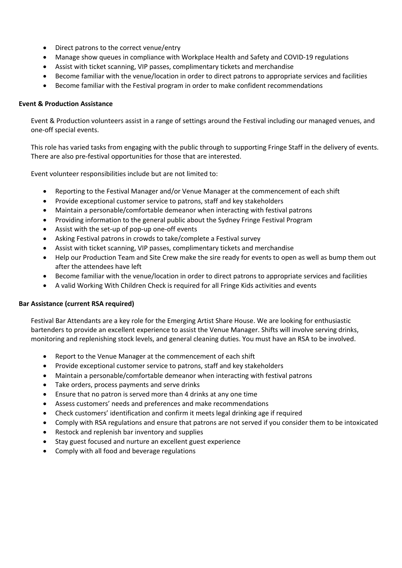- Direct patrons to the correct venue/entry
- Manage show queues in compliance with Workplace Health and Safety and COVID-19 regulations
- Assist with ticket scanning, VIP passes, complimentary tickets and merchandise
- Become familiar with the venue/location in order to direct patrons to appropriate services and facilities
- Become familiar with the Festival program in order to make confident recommendations

#### **Event & Production Assistance**

Event & Production volunteers assist in a range of settings around the Festival including our managed venues, and one-off special events.

This role has varied tasks from engaging with the public through to supporting Fringe Staff in the delivery of events. There are also pre-festival opportunities for those that are interested.

Event volunteer responsibilities include but are not limited to:

- Reporting to the Festival Manager and/or Venue Manager at the commencement of each shift
- Provide exceptional customer service to patrons, staff and key stakeholders
- Maintain a personable/comfortable demeanor when interacting with festival patrons
- Providing information to the general public about the Sydney Fringe Festival Program
- Assist with the set-up of pop-up one-off events
- Asking Festival patrons in crowds to take/complete a Festival survey
- Assist with ticket scanning, VIP passes, complimentary tickets and merchandise
- Help our Production Team and Site Crew make the sire ready for events to open as well as bump them out after the attendees have left
- Become familiar with the venue/location in order to direct patrons to appropriate services and facilities
- A valid Working With Children Check is required for all Fringe Kids activities and events

## **Bar Assistance (current RSA required)**

Festival Bar Attendants are a key role for the Emerging Artist Share House. We are looking for enthusiastic bartenders to provide an excellent experience to assist the Venue Manager. Shifts will involve serving drinks, monitoring and replenishing stock levels, and general cleaning duties. You must have an RSA to be involved.

- Report to the Venue Manager at the commencement of each shift
- Provide exceptional customer service to patrons, staff and key stakeholders
- Maintain a personable/comfortable demeanor when interacting with festival patrons
- Take orders, process payments and serve drinks
- Ensure that no patron is served more than 4 drinks at any one time
- Assess customers' needs and preferences and make recommendations
- Check customers' identification and confirm it meets legal drinking age if required
- Comply with RSA regulations and ensure that patrons are not served if you consider them to be intoxicated
- Restock and replenish bar inventory and supplies
- Stay guest focused and nurture an excellent guest experience
- Comply with all food and beverage regulations